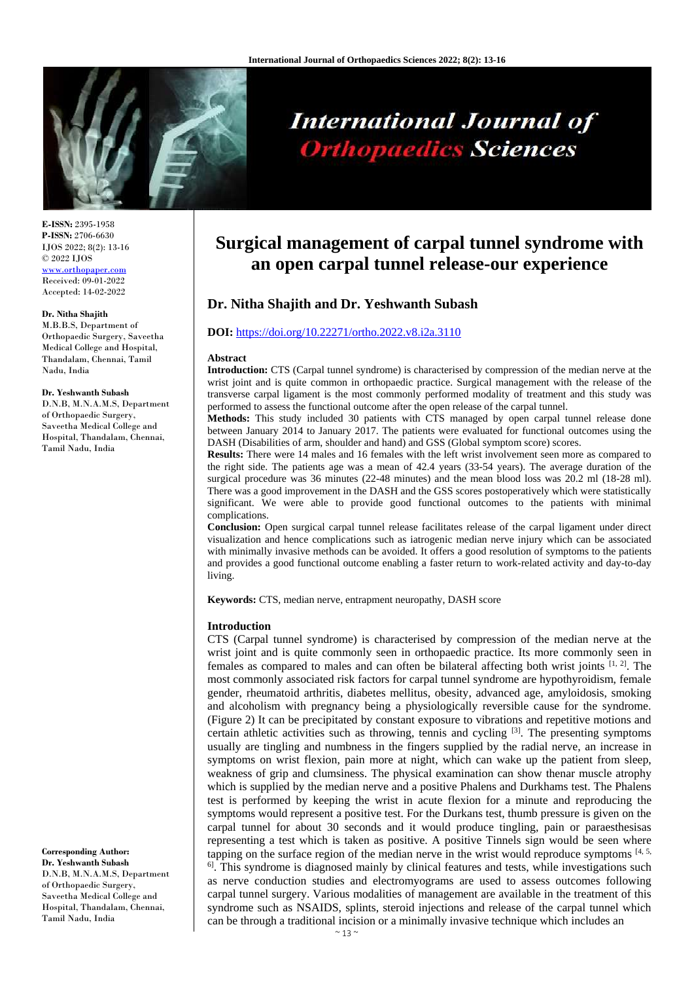

# **International Journal of Orthopaedics Sciences**

**E-ISSN:** 2395-1958 **P-ISSN:** 2706-6630 IJOS 2022; 8(2): 13-16 © 2022 IJOS www.orthopape Received: 09-01-2022 Accepted: 14-02-2022

#### **Dr. Nitha Shajith**

M.B.B.S, Department of Orthopaedic Surgery, Saveetha Medical College and Hospital, Thandalam, Chennai, Tamil Nadu, India

#### **Dr. Yeshwanth Subash**

D.N.B, M.N.A.M.S, Department of Orthopaedic Surgery, Saveetha Medical College and Hospital, Thandalam, Chennai, Tamil Nadu, India

**Corresponding Author: Dr. Yeshwanth Subash** D.N.B, M.N.A.M.S, Department of Orthopaedic Surgery, Saveetha Medical College and Hospital, Thandalam, Chennai, Tamil Nadu, India

# **Surgical management of carpal tunnel syndrome with an open carpal tunnel release-our experience**

# **Dr. Nitha Shajith and Dr. Yeshwanth Subash**

#### **DOI:** <https://doi.org/10.22271/ortho.2022.v8.i2a.3110>

#### **Abstract**

**Introduction:** CTS (Carpal tunnel syndrome) is characterised by compression of the median nerve at the wrist joint and is quite common in orthopaedic practice. Surgical management with the release of the transverse carpal ligament is the most commonly performed modality of treatment and this study was performed to assess the functional outcome after the open release of the carpal tunnel.

**Methods:** This study included 30 patients with CTS managed by open carpal tunnel release done between January 2014 to January 2017. The patients were evaluated for functional outcomes using the DASH (Disabilities of arm, shoulder and hand) and GSS (Global symptom score) scores.

**Results:** There were 14 males and 16 females with the left wrist involvement seen more as compared to the right side. The patients age was a mean of 42.4 years (33-54 years). The average duration of the surgical procedure was 36 minutes (22-48 minutes) and the mean blood loss was 20.2 ml (18-28 ml). There was a good improvement in the DASH and the GSS scores postoperatively which were statistically significant. We were able to provide good functional outcomes to the patients with minimal complications.

**Conclusion:** Open surgical carpal tunnel release facilitates release of the carpal ligament under direct visualization and hence complications such as iatrogenic median nerve injury which can be associated with minimally invasive methods can be avoided. It offers a good resolution of symptoms to the patients and provides a good functional outcome enabling a faster return to work-related activity and day-to-day living.

**Keywords:** CTS, median nerve, entrapment neuropathy, DASH score

#### **Introduction**

CTS (Carpal tunnel syndrome) is characterised by compression of the median nerve at the wrist joint and is quite commonly seen in orthopaedic practice. Its more commonly seen in females as compared to males and can often be bilateral affecting both wrist joints  $[1, 2]$ . The most commonly associated risk factors for carpal tunnel syndrome are hypothyroidism, female gender, rheumatoid arthritis, diabetes mellitus, obesity, advanced age, amyloidosis, smoking and alcoholism with pregnancy being a physiologically reversible cause for the syndrome. (Figure 2) It can be precipitated by constant exposure to vibrations and repetitive motions and certain athletic activities such as throwing, tennis and cycling  $[3]$ . The presenting symptoms usually are tingling and numbness in the fingers supplied by the radial nerve, an increase in symptoms on wrist flexion, pain more at night, which can wake up the patient from sleep, weakness of grip and clumsiness. The physical examination can show thenar muscle atrophy which is supplied by the median nerve and a positive Phalens and Durkhams test. The Phalens test is performed by keeping the wrist in acute flexion for a minute and reproducing the symptoms would represent a positive test. For the Durkans test, thumb pressure is given on the carpal tunnel for about 30 seconds and it would produce tingling, pain or paraesthesisas representing a test which is taken as positive. A positive Tinnels sign would be seen where tapping on the surface region of the median nerve in the wrist would reproduce symptoms  $[4, 5, 5]$  $<sup>6</sup>$ . This syndrome is diagnosed mainly by clinical features and tests, while investigations such</sup> as nerve conduction studies and electromyograms are used to assess outcomes following carpal tunnel surgery. Various modalities of management are available in the treatment of this syndrome such as NSAIDS, splints, steroid injections and release of the carpal tunnel which can be through a traditional incision or a minimally invasive technique which includes an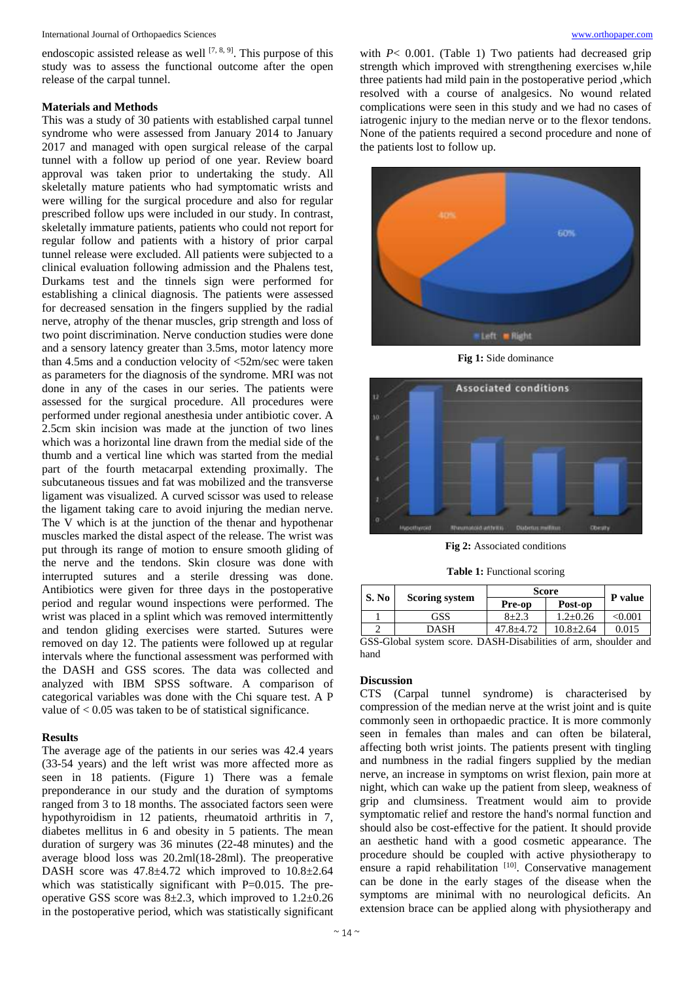endoscopic assisted release as well  $[7, 8, 9]$ . This purpose of this study was to assess the functional outcome after the open release of the carpal tunnel.

#### **Materials and Methods**

This was a study of 30 patients with established carpal tunnel syndrome who were assessed from January 2014 to January 2017 and managed with open surgical release of the carpal tunnel with a follow up period of one year. Review board approval was taken prior to undertaking the study. All skeletally mature patients who had symptomatic wrists and were willing for the surgical procedure and also for regular prescribed follow ups were included in our study. In contrast, skeletally immature patients, patients who could not report for regular follow and patients with a history of prior carpal tunnel release were excluded. All patients were subjected to a clinical evaluation following admission and the Phalens test, Durkams test and the tinnels sign were performed for establishing a clinical diagnosis. The patients were assessed for decreased sensation in the fingers supplied by the radial nerve, atrophy of the thenar muscles, grip strength and loss of two point discrimination. Nerve conduction studies were done and a sensory latency greater than 3.5ms, motor latency more than 4.5ms and a conduction velocity of <52m/sec were taken as parameters for the diagnosis of the syndrome. MRI was not done in any of the cases in our series. The patients were assessed for the surgical procedure. All procedures were performed under regional anesthesia under antibiotic cover. A 2.5cm skin incision was made at the junction of two lines which was a horizontal line drawn from the medial side of the thumb and a vertical line which was started from the medial part of the fourth metacarpal extending proximally. The subcutaneous tissues and fat was mobilized and the transverse ligament was visualized. A curved scissor was used to release the ligament taking care to avoid injuring the median nerve. The V which is at the junction of the thenar and hypothenar muscles marked the distal aspect of the release. The wrist was put through its range of motion to ensure smooth gliding of the nerve and the tendons. Skin closure was done with interrupted sutures and a sterile dressing was done. Antibiotics were given for three days in the postoperative period and regular wound inspections were performed. The wrist was placed in a splint which was removed intermittently and tendon gliding exercises were started. Sutures were removed on day 12. The patients were followed up at regular intervals where the functional assessment was performed with the DASH and GSS scores. The data was collected and analyzed with IBM SPSS software. A comparison of categorical variables was done with the Chi square test. A P value of < 0.05 was taken to be of statistical significance.

## **Results**

The average age of the patients in our series was 42.4 years (33-54 years) and the left wrist was more affected more as seen in 18 patients. (Figure 1) There was a female preponderance in our study and the duration of symptoms ranged from 3 to 18 months. The associated factors seen were hypothyroidism in 12 patients, rheumatoid arthritis in 7, diabetes mellitus in 6 and obesity in 5 patients. The mean duration of surgery was 36 minutes (22-48 minutes) and the average blood loss was 20.2ml(18-28ml). The preoperative DASH score was 47.8±4.72 which improved to 10.8±2.64 which was statistically significant with P=0.015. The preoperative GSS score was  $8\pm 2.3$ , which improved to  $1.2\pm 0.26$ in the postoperative period, which was statistically significant

with  $P < 0.001$ . (Table 1) Two patients had decreased grip strength which improved with strengthening exercises w,hile three patients had mild pain in the postoperative period ,which resolved with a course of analgesics. No wound related complications were seen in this study and we had no cases of iatrogenic injury to the median nerve or to the flexor tendons. None of the patients required a second procedure and none of the patients lost to follow up.



**Fig 1:** Side dominance



**Fig 2:** Associated conditions

**Table 1:** Functional scoring

| S. No                                             | <b>Scoring system</b> | Score     |                 | P value      |
|---------------------------------------------------|-----------------------|-----------|-----------------|--------------|
|                                                   |                       | Pre-op    | Post-op         |              |
|                                                   | GSS                   | $8 + 2.3$ | $1.2 + 0.26$    | $<\!\!0.001$ |
|                                                   | DASH                  | 47.8+4.72 | $10.8 \pm 2.64$ | 0.015        |
| 0.000111<br>$\mathbf{D}$ and $\mathbf{D}$ . I iii |                       |           |                 |              |

GSS-Global system score. DASH-Disabilities of arm, shoulder and hand

### **Discussion**

CTS (Carpal tunnel syndrome) is characterised by compression of the median nerve at the wrist joint and is quite commonly seen in orthopaedic practice. It is more commonly seen in females than males and can often be bilateral, affecting both wrist joints. The patients present with tingling and numbness in the radial fingers supplied by the median nerve, an increase in symptoms on wrist flexion, pain more at night, which can wake up the patient from sleep, weakness of grip and clumsiness. Treatment would aim to provide symptomatic relief and restore the hand's normal function and should also be cost-effective for the patient. It should provide an aesthetic hand with a good cosmetic appearance. The procedure should be coupled with active physiotherapy to ensure a rapid rehabilitation [10]. Conservative management can be done in the early stages of the disease when the symptoms are minimal with no neurological deficits. An extension brace can be applied along with physiotherapy and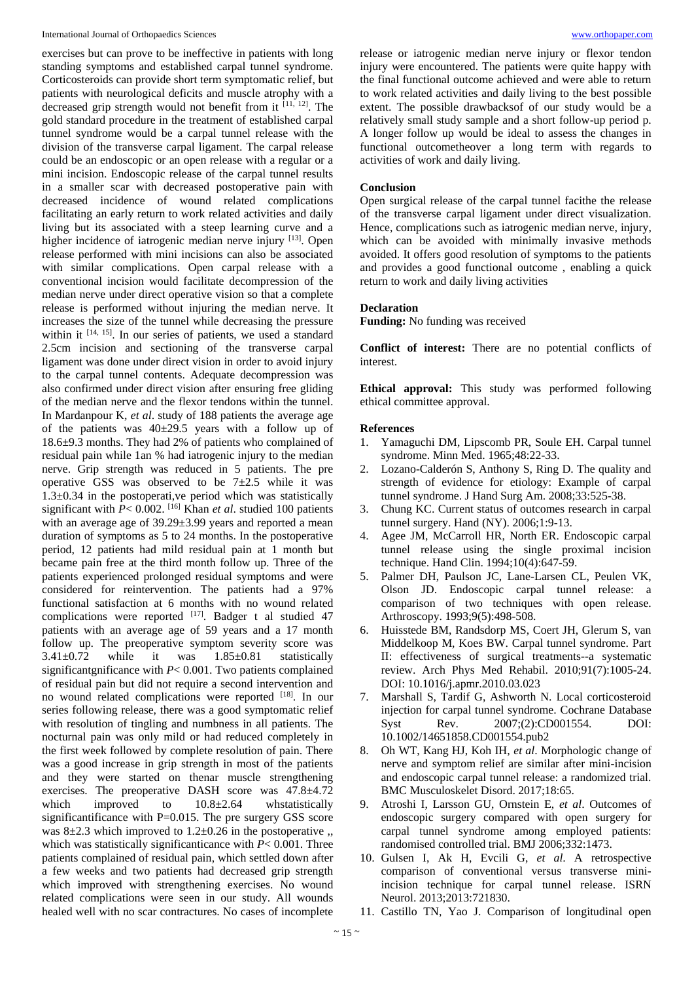#### International Journal of Orthopaedics Sciences [www.orthopaper.com](http://www.orthopaper.com/)

exercises but can prove to be ineffective in patients with long standing symptoms and established carpal tunnel syndrome. Corticosteroids can provide short term symptomatic relief, but patients with neurological deficits and muscle atrophy with a decreased grip strength would not benefit from it [11, 12] . The gold standard procedure in the treatment of established carpal tunnel syndrome would be a carpal tunnel release with the division of the transverse carpal ligament. The carpal release could be an endoscopic or an open release with a regular or a mini incision. Endoscopic release of the carpal tunnel results in a smaller scar with decreased postoperative pain with decreased incidence of wound related complications facilitating an early return to work related activities and daily living but its associated with a steep learning curve and a higher incidence of iatrogenic median nerve injury [13]. Open release performed with mini incisions can also be associated with similar complications. Open carpal release with a conventional incision would facilitate decompression of the median nerve under direct operative vision so that a complete release is performed without injuring the median nerve. It increases the size of the tunnel while decreasing the pressure within it  $[14, 15]$ . In our series of patients, we used a standard 2.5cm incision and sectioning of the transverse carpal ligament was done under direct vision in order to avoid injury to the carpal tunnel contents. Adequate decompression was also confirmed under direct vision after ensuring free gliding of the median nerve and the flexor tendons within the tunnel. In Mardanpour K, *et al*. study of 188 patients the average age of the patients was  $40\pm 29.5$  years with a follow up of 18.6±9.3 months. They had 2% of patients who complained of residual pain while 1an % had iatrogenic injury to the median nerve. Grip strength was reduced in 5 patients. The pre operative GSS was observed to be  $7\pm2.5$  while it was  $1.3\pm0.34$  in the postoperati, ve period which was statistically significant with *P*< 0.002. [16] Khan *et al*. studied 100 patients with an average age of 39.29±3.99 years and reported a mean duration of symptoms as 5 to 24 months. In the postoperative period, 12 patients had mild residual pain at 1 month but became pain free at the third month follow up. Three of the patients experienced prolonged residual symptoms and were considered for reintervention. The patients had a 97% functional satisfaction at 6 months with no wound related complications were reported  $[17]$ . Badger t al studied 47 patients with an average age of 59 years and a 17 month follow up. The preoperative symptom severity score was  $3.41\pm0.72$  while it was  $1.85\pm0.81$  statistically significantgnificance with *P*< 0.001. Two patients complained of residual pain but did not require a second intervention and no wound related complications were reported [18]. In our series following release, there was a good symptomatic relief with resolution of tingling and numbness in all patients. The nocturnal pain was only mild or had reduced completely in the first week followed by complete resolution of pain. There was a good increase in grip strength in most of the patients and they were started on thenar muscle strengthening exercises. The preoperative DASH score was 47.8±4.72 which improved to  $10.8\pm2.64$  whstatistically significantificance with  $P=0.015$ . The pre surgery GSS score was  $8\pm2.3$  which improved to  $1.2\pm0.26$  in the postoperative .. which was statistically significanticance with  $P < 0.001$ . Three patients complained of residual pain, which settled down after a few weeks and two patients had decreased grip strength which improved with strengthening exercises. No wound related complications were seen in our study. All wounds healed well with no scar contractures. No cases of incomplete

release or iatrogenic median nerve injury or flexor tendon injury were encountered. The patients were quite happy with the final functional outcome achieved and were able to return to work related activities and daily living to the best possible extent. The possible drawbacksof of our study would be a relatively small study sample and a short follow-up period p. A longer follow up would be ideal to assess the changes in functional outcometheover a long term with regards to activities of work and daily living.

#### **Conclusion**

Open surgical release of the carpal tunnel facithe the release of the transverse carpal ligament under direct visualization. Hence, complications such as iatrogenic median nerve, injury, which can be avoided with minimally invasive methods avoided. It offers good resolution of symptoms to the patients and provides a good functional outcome , enabling a quick return to work and daily living activities

#### **Declaration**

**Funding:** No funding was received

**Conflict of interest:** There are no potential conflicts of interest.

**Ethical approval:** This study was performed following ethical committee approval.

#### **References**

- 1. Yamaguchi DM, Lipscomb PR, Soule EH. Carpal tunnel syndrome. Minn Med. 1965;48:22-33.
- 2. Lozano-Calderón S, Anthony S, Ring D. The quality and strength of evidence for etiology: Example of carpal tunnel syndrome. J Hand Surg Am. 2008;33:525-38.
- 3. Chung KC. Current status of outcomes research in carpal tunnel surgery. Hand (NY). 2006;1:9-13.
- 4. Agee JM, McCarroll HR, North ER. Endoscopic carpal tunnel release using the single proximal incision technique. Hand Clin. 1994;10(4):647-59.
- 5. Palmer DH, Paulson JC, Lane-Larsen CL, Peulen VK, Olson JD. Endoscopic carpal tunnel release: a comparison of two techniques with open release. Arthroscopy. 1993;9(5):498-508.
- 6. Huisstede BM, Randsdorp MS, Coert JH, Glerum S, van Middelkoop M, Koes BW. Carpal tunnel syndrome. Part II: effectiveness of surgical treatments--a systematic review. Arch Phys Med Rehabil. 2010;91(7):1005-24. DOI: 10.1016/j.apmr.2010.03.023
- 7. Marshall S, Tardif G, Ashworth N. Local corticosteroid injection for carpal tunnel syndrome. Cochrane Database Syst Rev.  $2007$ ;(2):CD001554. DOI: 10.1002/14651858.CD001554.pub2
- 8. Oh WT, Kang HJ, Koh IH, *et al*. Morphologic change of nerve and symptom relief are similar after mini-incision and endoscopic carpal tunnel release: a randomized trial. BMC Musculoskelet Disord. 2017;18:65.
- 9. Atroshi I, Larsson GU, Ornstein E, *et al*. Outcomes of endoscopic surgery compared with open surgery for carpal tunnel syndrome among employed patients: randomised controlled trial. BMJ 2006;332:1473.
- 10. Gulsen I, Ak H, Evcili G, *et al*. A retrospective comparison of conventional versus transverse miniincision technique for carpal tunnel release. ISRN Neurol. 2013;2013:721830.
- 11. Castillo TN, Yao J. Comparison of longitudinal open